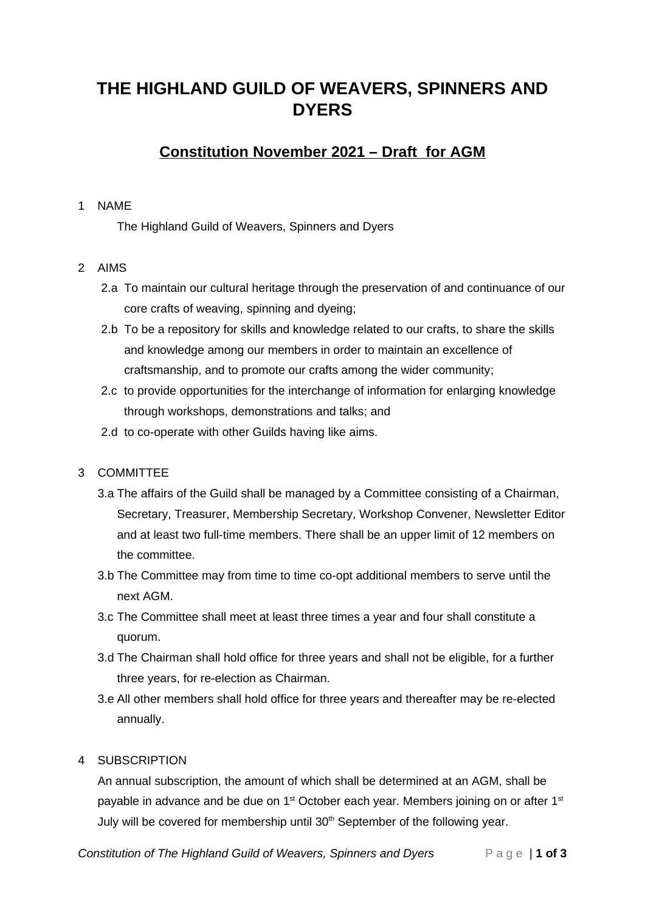# **THE HIGHLAND GUILD OF WEAVERS, SPINNERS AND DYERS**

# **Constitution November 2021 – Draft for AGM**

#### 1 NAME

The Highland Guild of Weavers, Spinners and Dyers

## 2 AIMS

- 2.a To maintain our cultural heritage through the preservation of and continuance of our core crafts of weaving, spinning and dyeing;
- 2.b To be a repository for skills and knowledge related to our crafts, to share the skills and knowledge among our members in order to maintain an excellence of craftsmanship, and to promote our crafts among the wider community;
- 2.c to provide opportunities for the interchange of information for enlarging knowledge through workshops, demonstrations and talks; and
- 2.d to co-operate with other Guilds having like aims.

# 3 COMMITTEE

- 3.a The affairs of the Guild shall be managed by a Committee consisting of a Chairman, Secretary, Treasurer, Membership Secretary, Workshop Convener, Newsletter Editor and at least two full-time members. There shall be an upper limit of 12 members on the committee.
- 3.b The Committee may from time to time co-opt additional members to serve until the next AGM.
- 3.c The Committee shall meet at least three times a year and four shall constitute a quorum.
- 3.d The Chairman shall hold office for three years and shall not be eligible, for a further three years, for re-election as Chairman.
- 3.e All other members shall hold office for three years and thereafter may be re-elected annually.

#### 4 SUBSCRIPTION

An annual subscription, the amount of which shall be determined at an AGM, shall be payable in advance and be due on  $1<sup>st</sup>$  October each year. Members joining on or after  $1<sup>st</sup>$ July will be covered for membership until 30<sup>th</sup> September of the following year.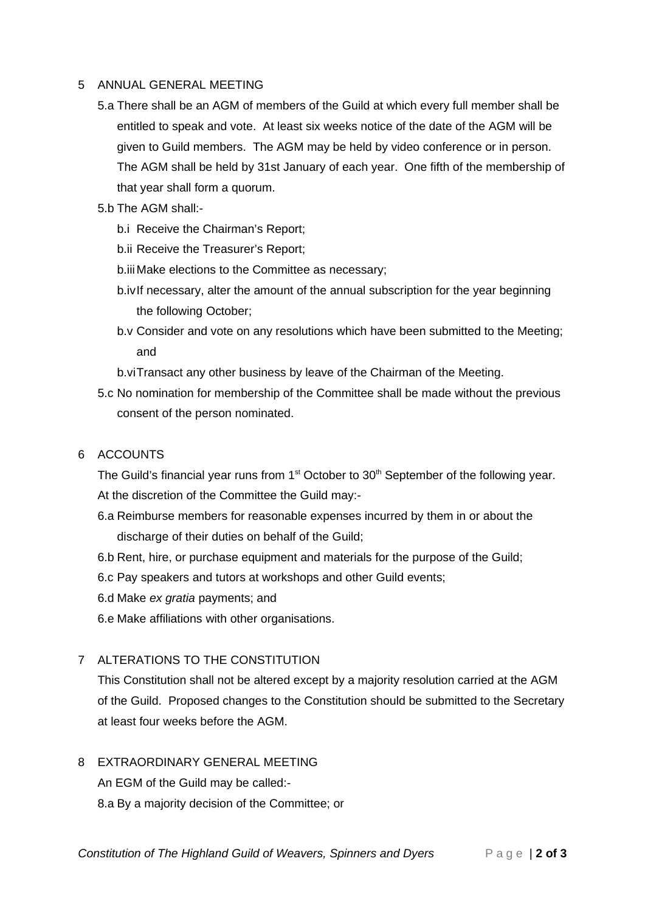#### 5 ANNUAL GENERAL MEETING

- 5.a There shall be an AGM of members of the Guild at which every full member shall be entitled to speak and vote. At least six weeks notice of the date of the AGM will be given to Guild members. The AGM may be held by video conference or in person. The AGM shall be held by 31st January of each year. One fifth of the membership of that year shall form a quorum.
- 5.b The AGM shall:
	- b.i Receive the Chairman's Report;
	- b.ii Receive the Treasurer's Report;
	- b.iii Make elections to the Committee as necessary;
	- b.ivIf necessary, alter the amount of the annual subscription for the year beginning the following October;
	- b.v Consider and vote on any resolutions which have been submitted to the Meeting; and
	- b.viTransact any other business by leave of the Chairman of the Meeting.
- 5.c No nomination for membership of the Committee shall be made without the previous consent of the person nominated.

#### 6 ACCOUNTS

The Guild's financial year runs from  $1<sup>st</sup>$  October to  $30<sup>th</sup>$  September of the following year. At the discretion of the Committee the Guild may:-

- 6.a Reimburse members for reasonable expenses incurred by them in or about the discharge of their duties on behalf of the Guild;
- 6.b Rent, hire, or purchase equipment and materials for the purpose of the Guild;
- 6.c Pay speakers and tutors at workshops and other Guild events;
- 6.d Make *ex gratia* payments; and
- 6.e Make affiliations with other organisations.

## 7 ALTERATIONS TO THE CONSTITUTION

This Constitution shall not be altered except by a majority resolution carried at the AGM of the Guild. Proposed changes to the Constitution should be submitted to the Secretary at least four weeks before the AGM.

- 8 EXTRAORDINARY GENERAL MEETING An EGM of the Guild may be called:-
	- 8.a By a majority decision of the Committee; or